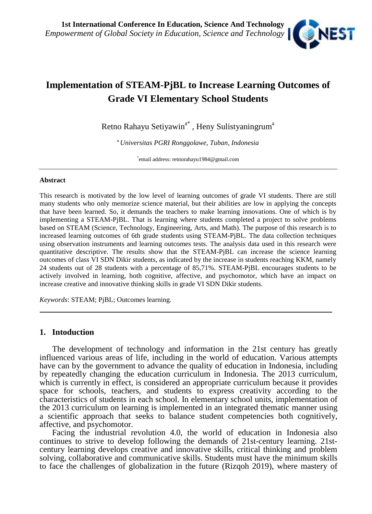

# **Implementation of STEAM-PjBL to Increase Learning Outcomes of Grade VI Elementary School Students**

Retno Rahayu Setiyawin<sup>a\*</sup> , Heny Sulistyaningrum<sup>a</sup>

<sup>a</sup> *Universitas PGRI Ronggolawe, Tuban, Indonesia*

\*email address: retnorahayu1984@gmail.com

#### **Abstract**

This research is motivated by the low level of learning outcomes of grade VI students. There are still many students who only memorize science material, but their abilities are low in applying the concepts that have been learned. So, it demands the teachers to make learning innovations. One of which is by implementing a STEAM-PjBL. That is learning where students completed a project to solve problems based on STEAM (Science, Technology, Engineering, Arts, and Math). The purpose of this research is to increased learning outcomes of 6th grade students using STEAM-PjBL. The data collection techniques using observation instruments and learning outcomes tests. The analysis data used in this research were quantitative descriptive. The results show that the STEAM-PjBL can increase the science learning outcomes of class VI SDN Dikir students, as indicated by the increase in students reaching KKM, namely 24 students out of 28 students with a percentage of 85,71%. STEAM-PjBL encourages students to be actively involved in learning, both cognitive, affective, and psychomotor, which have an impact on increase creative and innovative thinking skills in grade VI SDN Dikir students.

*Keywords*: STEAM; PjBL; Outcomes learning.

### **1. Intoduction**

The development of technology and information in the 21st century has greatly influenced various areas of life, including in the world of education. Various attempts have can by the government to advance the quality of education in Indonesia, including by repeatedly changing the education curriculum in Indonesia. The 2013 curriculum, which is currently in effect, is considered an appropriate curriculum because it provides space for schools, teachers, and students to express creativity according to the characteristics of students in each school. In elementary school units, implementation of the 2013 curriculum on learning is implemented in an integrated thematic manner using a scientific approach that seeks to balance student competencies both cognitively, affective, and psychomotor.

Facing the industrial revolution 4.0, the world of education in Indonesia also continues to strive to develop following the demands of 21st-century learning. 21st century learning develops creative and innovative skills, critical thinking and problem solving, collaborative and communicative skills. Students must have the minimum skills to face the challenges of globalization in the future (Rizqoh 2019), where mastery of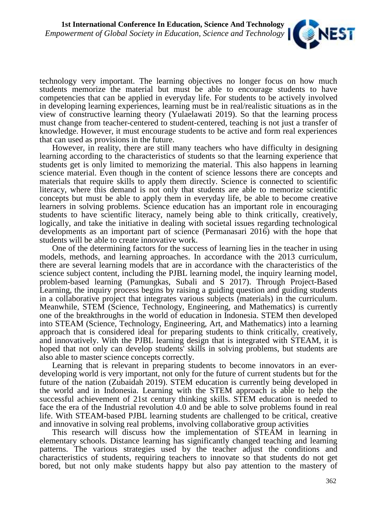

technology very important. The learning objectives no longer focus on how much students memorize the material but must be able to encourage students to have competencies that can be applied in everyday life. For students to be actively involved in developing learning experiences, learning must be in real/realistic situations as in the view of constructive learning theory (Yulaelawati 2019). So that the learning process must change from teacher-centered to student-centered, teaching is not just a transfer of knowledge. However, it must encourage students to be active and form real experiences that can used as provisions in the future.

However, in reality, there are still many teachers who have difficulty in designing learning according to the characteristics of students so that the learning experience that students get is only limited to memorizing the material. This also happens in learning science material. Even though in the content of science lessons there are concepts and materials that require skills to apply them directly. Science is connected to scientific literacy, where this demand is not only that students are able to memorize scientific concepts but must be able to apply them in everyday life, be able to become creative learners in solving problems. Science education has an important role in encouraging students to have scientific literacy, namely being able to think critically, creatively, logically, and take the initiative in dealing with societal issues regarding technological developments as an important part of science (Permanasari 2016) with the hope that students will be able to create innovative work.

One of the determining factors for the success of learning lies in the teacher in using models, methods, and learning approaches. In accordance with the 2013 curriculum, there are several learning models that are in accordance with the characteristics of the science subject content, including the PJBL learning model, the inquiry learning model, problem-based learning (Pamungkas, Subali and S 2017). Through Project-Based Learning, the inquiry process begins by raising a guiding question and guiding students in a collaborative project that integrates various subjects (materials) in the curriculum. Meanwhile, STEM (Science, Technology, Engineering, and Mathematics) is currently one of the breakthroughs in the world of education in Indonesia. STEM then developed into STEAM (Science, Technology, Engineering, Art, and Mathematics) into a learning approach that is considered ideal for preparing students to think critically, creatively, and innovatively. With the PJBL learning design that is integrated with STEAM, it is hoped that not only can develop students' skills in solving problems, but students are also able to master science concepts correctly.

Learning that is relevant in preparing students to become innovators in an ever developing world is very important, not only for the future of current students but for the future of the nation (Zubaidah 2019). STEM education is currently being developed in the world and in Indonesia. Learning with the STEM approach is able to help the successful achievement of 21st century thinking skills. STEM education is needed to face the era of the Industrial revolution 4.0 and be able to solve problems found in real life. With STEAM-based PJBL learning students are challenged to be critical, creative and innovative in solving real problems, involving collaborative group activities

This research will discuss how the implementation of STEAM in learning in elementary schools. Distance learning has significantly changed teaching and learning patterns. The various strategies used by the teacher adjust the conditions and characteristics of students, requiring teachers to innovate so that students do not get bored, but not only make students happy but also pay attention to the mastery of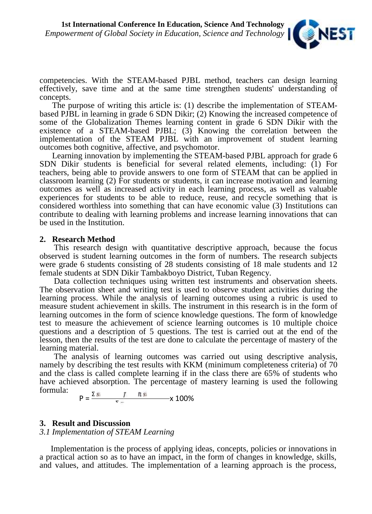

competencies. With the STEAM-based PJBL method, teachers can design learning effectively, save time and at the same time strengthen students' understanding of concepts.

The purpose of writing this article is: (1) describe the implementation of STEAM based PJBL in learning in grade 6 SDN Dikir; (2) Knowing the increased competence of some of the Globalization Themes learning content in grade 6 SDN Dikir with the existence of a STEAM-based PJBL; (3) Knowing the correlation between the implementation of the STEAM PJBL with an improvement of student learning outcomes both cognitive, affective, and psychomotor.

Learning innovation by implementing the STEAM-based PJBL approach for grade 6 SDN Dikir students is beneficial for several related elements, including: (1) For teachers, being able to provide answers to one form of STEAM that can be applied in classroom learning (2) For students or students, it can increase motivation and learning outcomes as well as increased activity in each learning process, as well as valuable experiences for students to be able to reduce, reuse, and recycle something that is considered worthless into something that can have economic value (3) Institutions can contribute to dealing with learning problems and increase learning innovations that can be used in the Institution.

#### **2. Research Method**

This research design with quantitative descriptive approach, because the focus observed is student learning outcomes in the form of numbers. The research subjects were grade 6 students consisting of 28 students consisting of 18 male students and 12 female students at SDN Dikir Tambakboyo District, Tuban Regency.

Data collection techniques using written test instruments and observation sheets. The observation sheet and writing test is used to observe student activities during the learning process. While the analysis of learning outcomes using a rubric is used to measure student achievement in skills. The instrument in this research is in the form of learning outcomes in the form of science knowledge questions. The form of knowledge test to measure the achievement of science learning outcomes is 10 multiple choice questions and a description of 5 questions. The test is carried out at the end of the lesson, then the results of the test are done to calculate the percentage of mastery of the learning material.

The analysis of learning outcomes was carried out using descriptive analysis, namely by describing the test results with KKM (minimum completeness criteria) of 70 and the class is called complete learning if in the class there are 65% of students who have achieved absorption. The percentage of mastery learning is used the following formula:

$$
P = \frac{d \, s}{d} \qquad \qquad I \qquad \hbar \, s \qquad \qquad \times 100\%
$$

### **3. Result and Discussion**

*3.1 Implementation of STEAM Learning*

Implementation is the process of applying ideas, concepts, policies or innovations in a practical action so as to have an impact, in the form of changes in knowledge, skills, and values, and attitudes. The implementation of a learning approach is the process,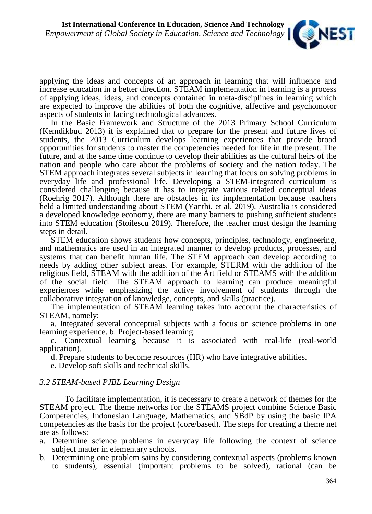

applying the ideas and concepts of an approach in learning that will influence and increase education in a better direction. STEAM implementation in learning is a process of applying ideas, ideas, and concepts contained in meta-disciplines in learning which are expected to improve the abilities of both the cognitive, affective and psychomotor aspects of students in facing technological advances.

In the Basic Framework and Structure of the 2013 Primary School Curriculum (Kemdikbud 2013) it is explained that to prepare for the present and future lives of students, the 2013 Curriculum develops learning experiences that provide broad opportunities for students to master the competencies needed for life in the present. The future, and at the same time continue to develop their abilities as the cultural heirs of the nation and people who care about the problems of society and the nation today. The STEM approach integrates several subjects in learning that focus on solving problems in everyday life and professional life. Developing a STEM-integrated curriculum is considered challenging because it has to integrate various related conceptual ideas (Roehrig 2017). Although there are obstacles in its implementation because teachers held a limited understanding about STEM (Yanthi, et al. 2019). Australia is considered a developed knowledge economy, there are many barriers to pushing sufficient students into STEM education (Stoilescu 2019). Therefore, the teacher must design the learning steps in detail.

STEM education shows students how concepts, principles, technology, engineering, and mathematics are used in an integrated manner to develop products, processes, and systems that can benefit human life. The STEM approach can develop according to needs by adding other subject areas. For example, STERM with the addition of the religious field, STEAM with the addition of the Art field or STEAMS with the addition of the social field. The STEAM approach to learning can produce meaningful experiences while emphasizing the active involvement of students through the collaborative integration of knowledge, concepts, and skills (practice).

The implementation of STEAM learning takes into account the characteristics of STEAM, namely:

a. Integrated several conceptual subjects with a focus on science problems in one learning experience. b. Project-based learning.

c. Contextual learning because it is associated with real-life (real-world application).

d. Prepare students to become resources (HR) who have integrative abilities.

e. Develop soft skills and technical skills.

### *3.2 STEAM-based PJBL Learning Design*

To facilitate implementation, it is necessary to create a network of themes for the STEAM project. The theme networks for the STEAMS project combine Science Basic Competencies, Indonesian Language, Mathematics, and SBdP by using the basic IPA competencies as the basis for the project (core/based). The steps for creating a theme net are as follows:

- a. Determine science problems in everyday life following the context of science subject matter in elementary schools.
- b. Determining one problem sains by considering contextual aspects (problems known to students), essential (important problems to be solved), rational (can be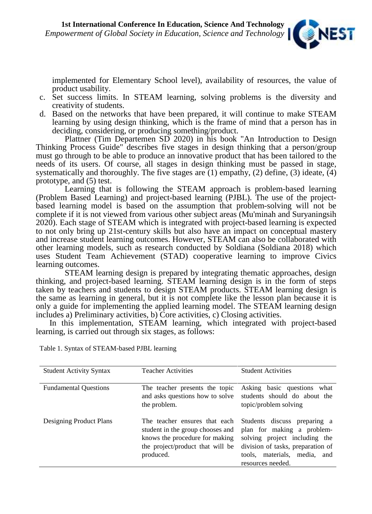

implemented for Elementary School level), availability of resources, the value of product usability.

- c. Set success limits. In STEAM learning, solving problems is the diversity and creativity of students.
- d. Based on the networks that have been prepared, it will continue to make STEAM learning by using design thinking, which is the frame of mind that a person has in deciding, considering, or producing something/product.

Plattner (Tim Departemen SD 2020) in his book "An Introduction to Design Thinking Process Guide" describes five stages in design thinking that a person/group must go through to be able to produce an innovative product that has been tailored to the needs of its users. Of course, all stages in design thinking must be passed in stage, systematically and thoroughly. The five stages are  $(1)$  empathy,  $(2)$  define,  $(3)$  ideate,  $(4)$ prototype, and (5) test.

Learning that is following the STEAM approach is problem-based learning (Problem Based Learning) and project-based learning (PJBL). The use of the project based learning model is based on the assumption that problem-solving will not be complete if it is not viewed from various other subject areas (Mu'minah and Suryaningsih 2020). Each stage of STEAM which is integrated with project-based learning is expected to not only bring up 21st-century skills but also have an impact on conceptual mastery and increase student learning outcomes. However, STEAM can also be collaborated with other learning models, such as research conducted by Soldiana (Soldiana 2018) which uses Student Team Achievement (STAD) cooperative learning to improve Civics learning outcomes.

STEAM learning design is prepared by integrating thematic approaches, design thinking, and project-based learning. STEAM learning design is in the form of steps taken by teachers and students to design STEAM products. STEAM learning design is the same as learning in general, but it is not complete like the lesson plan because it is only a guide for implementing the applied learning model. The STEAM learning design includes a) Preliminary activities, b) Core activities, c) Closing activities.

In this implementation, STEAM learning, which integrated with project-based learning, is carried out through six stages, as follows:

| <b>Student Activity Syntax</b> | <b>Teacher Activities</b>                                                       | <b>Student Activities</b>                                                                                                                                                                                                                            |
|--------------------------------|---------------------------------------------------------------------------------|------------------------------------------------------------------------------------------------------------------------------------------------------------------------------------------------------------------------------------------------------|
| <b>Fundamental Questions</b>   | The teacher presents the topic<br>the problem.                                  | Asking basic questions what<br>and asks questions how to solve students should do about the<br>topic/problem solving                                                                                                                                 |
| Designing Product Plans        | student in the group chooses and<br>knows the procedure for making<br>produced. | The teacher ensures that each Students discuss preparing a<br>plan for making a problem-<br>solving project including the<br>the project/product that will be division of tasks, preparation of<br>tools, materials, media, and<br>resources needed. |

Table 1. Syntax of STEAM-based PJBL learning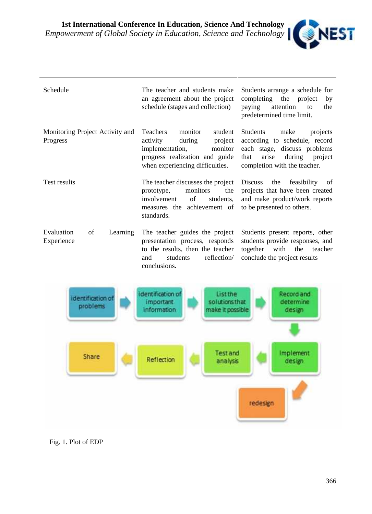

| Schedule                                    | The teacher and students make<br>an agreement about the project<br>schedule (stages and collection)                                                                | Students arrange a schedule for<br>completing the project<br>by<br>paying<br>attention<br>the<br>to<br>predetermined time limit.                                    |
|---------------------------------------------|--------------------------------------------------------------------------------------------------------------------------------------------------------------------|---------------------------------------------------------------------------------------------------------------------------------------------------------------------|
| Monitoring Project Activity and<br>Progress | Teachers<br>monitor<br>student<br>activity<br>during<br>project<br>implementation,<br>monitor<br>progress realization and guide<br>when experiencing difficulties. | Students<br>make<br>projects<br>according to schedule, record<br>each stage, discuss problems<br>arise<br>during<br>that<br>project<br>completion with the teacher. |
| Test results                                | The teacher discusses the project Discuss<br>monitors<br>the<br>prototype,<br>of<br>students,<br>involvement<br>measures the achievement of<br>standards.          | the<br>feasibility<br>0f<br>projects that have been created<br>and make product/work reports<br>to be presented to others.                                          |
| Evaluation<br>of<br>Learning<br>Experience  | The teacher guides the project<br>presentation process, responds<br>to the results, then the teacher<br>reflection/<br>students<br>and<br>conclusions.             | Students present reports, other<br>students provide responses, and<br>together<br>with<br>the<br>teacher<br>conclude the project results                            |



### Fig. 1. Plot of EDP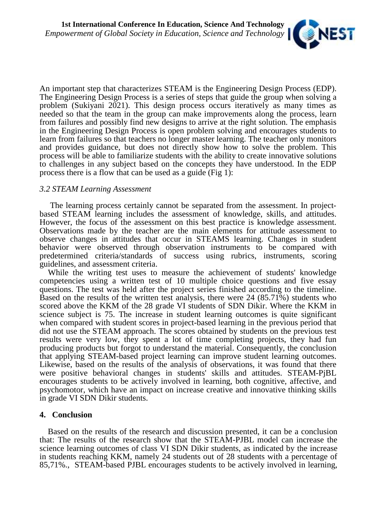

An important step that characterizes STEAM is the Engineering Design Process (EDP). The Engineering Design Process is a series of steps that guide the group when solving a problem (Sukiyani 2021). This design process occurs iteratively as many times as needed so that the team in the group can make improvements along the process, learn from failures and possibly find new designs to arrive at the right solution. The emphasis in the Engineering Design Process is open problem solving and encourages students to learn from failures so that teachers no longer master learning. The teacher only monitors and provides guidance, but does not directly show how to solve the problem. This process will be able to familiarize students with the ability to create innovative solutions to challenges in any subject based on the concepts they have understood. In the EDP process there is a flow that can be used as a guide (Fig 1):

## *3.2 STEAM Learning Assessment*

The learning process certainly cannot be separated from the assessment. In project based STEAM learning includes the assessment of knowledge, skills, and attitudes. However, the focus of the assessment on this best practice is knowledge assessment. Observations made by the teacher are the main elements for attitude assessment to observe changes in attitudes that occur in STEAMS learning. Changes in student behavior were observed through observation instruments to be compared with predetermined criteria/standards of success using rubrics, instruments, scoring guidelines, and assessment criteria.

While the writing test uses to measure the achievement of students' knowledge competencies using a written test of 10 multiple choice questions and five essay questions. The test was held after the project series finished according to the timeline. Based on the results of the written test analysis, there were  $24$  (85.71%) students who scored above the KKM of the 28 grade VI students of SDN Dikir. Where the KKM in science subject is 75. The increase in student learning outcomes is quite significant when compared with student scores in project-based learning in the previous period that did not use the STEAM approach. The scores obtained by students on the previous test results were very low, they spent a lot of time completing projects, they had fun producing products but forgot to understand the material. Consequently, the conclusion that applying STEAM-based project learning can improve student learning outcomes. Likewise, based on the results of the analysis of observations, it was found that there were positive behavioral changes in students' skills and attitudes. STEAM-PjBL encourages students to be actively involved in learning, both cognitive, affective, and psychomotor, which have an impact on increase creative and innovative thinking skills in grade VI SDN Dikir students.

### **4. Conclusion**

Based on the results of the research and discussion presented, it can be a conclusion that: The results of the research show that the STEAM-PJBL model can increase the science learning outcomes of class VI SDN Dikir students, as indicated by the increase in students reaching KKM, namely 24 students out of 28 students with a percentage of 85,71%., STEAM-based PJBL encourages students to be actively involved in learning,